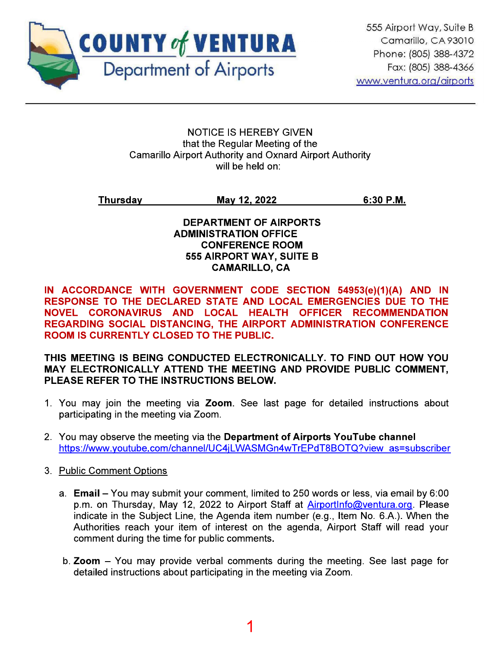

**NOTICE IS HEREBY GIVEN** that the Regular Meeting of the **Camarillo Airport Authority and Oxnard Airport Authority** will be held on:

Thursday May 12, 2022  $6:30$  P.M.

# **DEPARTMENT OF AIRPORTS ADMINISTRATION OFFICE CONFERENCE ROOM 555 AIRPORT WAY, SUITE B CAMARILLO, CA**

IN ACCORDANCE WITH GOVERNMENT CODE SECTION 54953(e)(1)(A) AND IN RESPONSE TO THE DECLARED STATE AND LOCAL EMERGENCIES DUE TO THE NOVEL CORONAVIRUS AND LOCAL HEALTH OFFICER RECOMMENDATION REGARDING SOCIAL DISTANCING, THE AIRPORT ADMINISTRATION CONFERENCE **ROOM IS CURRENTLY CLOSED TO THE PUBLIC.** 

THIS MEETING IS BEING CONDUCTED ELECTRONICALLY. TO FIND OUT HOW YOU MAY ELECTRONICALLY ATTEND THE MEETING AND PROVIDE PUBLIC COMMENT. PLEASE REFER TO THE INSTRUCTIONS BELOW.

- 1. You may join the meeting via Zoom. See last page for detailed instructions about participating in the meeting via Zoom.
- 2. You may observe the meeting via the Department of Airports YouTube channel https://www.youtube.com/channel/UC4iLWASMGn4wTrEPdT8BOTQ?view as=subscriber
- 3. Public Comment Options
	- a. Email You may submit your comment, limited to 250 words or less, via email by 6:00 p.m. on Thursday, May 12, 2022 to Airport Staff at AirportInfo@ventura.org. Please indicate in the Subject Line, the Agenda item number (e.g., Item No. 6.A.). When the Authorities reach your item of interest on the agenda, Airport Staff will read your comment during the time for public comments.
	- b. Zoom You may provide verbal comments during the meeting. See last page for detailed instructions about participating in the meeting via Zoom.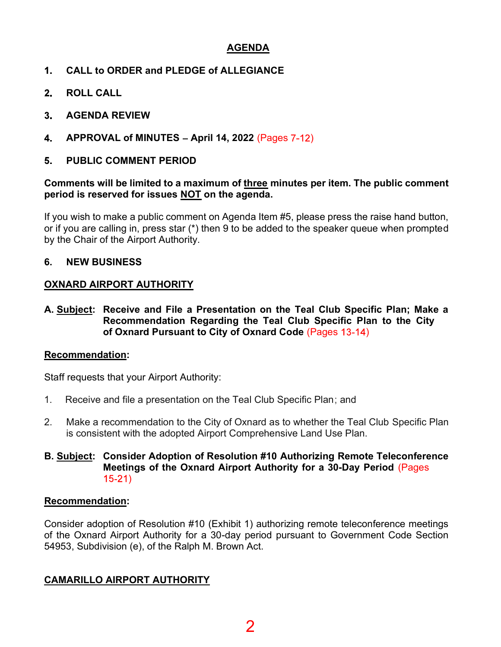# AGENDA

- $1<sub>1</sub>$ CALL to ORDER and PLEDGE of ALLEGIANCE
- $2<sub>-</sub>$ ROLL CALL
- AGENDA REVIEW  $3_{-}$
- 4. APPROVAL of MINUTES - April 14, 2022 (Pages  $7-12$ )
- PUBLIC COMMENT PERIOD 5.

#### Comments will be limited to a maximum of three minutes per item. The public comment period is reserved for issues NOT on the agenda.

If you wish to make a public comment on Agenda Item #5, please press the raise hand button, or if you are calling in, press star (\*) then 9 to be added to the speaker queue when prompted by the Chair of the Airport Authority.

# 6. NEW BUSINESS

#### OXNARD AIRPORT AUTHORITY

A. Subject: Receive and File a Presentation on the Teal Club Specific Plan; Make a Recommendation Regarding the Teal Club Specific Plan to the City of Oxnard Pursuant to City of Oxnard Code (Pages 13-14)

#### Recommendation:

Staff requests that your Airport Authority:

- 1. Receive and file a presentation on the Teal Club Specific Plan; and
- 2. Make a recommendation to the City of Oxnard as to whether the Teal Club Specific Plan is consistent with the adopted Airport Comprehensive Land Use Plan.
- B. Subject: Consider Adoption of Resolution #10 Authorizing Remote Teleconference Meetings of the Oxnard Airport Authority for a 30-Day Period (Pages  $15-21)$

#### Recommendation:

Consider adoption of Resolution #10 (Exhibit 1) authorizing remote teleconference meetings of the Oxnard Airport Authority for a 30-day period pursuant to Government Code Section 54953, Subdivision (e), of the Ralph M. Brown Act.

#### CAMARILLO AIRPORT AUTHORITY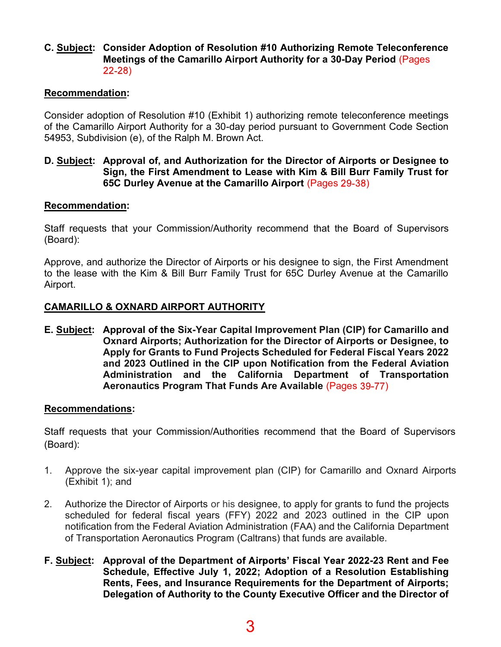#### C. Subject: Consider Adoption of Resolution #10 Authorizing Remote Teleconference Meetings of the Camarillo Airport Authority for a 30-Day Period (Pages 22-28)

# Recommendation:

Consider adoption of Resolution #10 (Exhibit 1) authorizing remote teleconference meetings of the Camarillo Airport Authority for a 30-day period pursuant to Government Code Section 54953, Subdivision (e), of the Ralph M. Brown Act.

#### D. Subject: Approval of, and Authorization for the Director of Airports or Designee to Sign, the First Amendment to Lease with Kim & Bill Burr Family Trust for 65C Durley Avenue at the Camarillo Airport (Pages 29-38)

#### Recommendation:

Staff requests that your Commission/Authority recommend that the Board of Supervisors (Board):

Approve, and authorize the Director of Airports or his designee to sign, the First Amendment to the lease with the Kim & Bill Burr Family Trust for 65C Durley Avenue at the Camarillo Airport.

#### CAMARILLO & OXNARD AIRPORT AUTHORITY

E. Subject: Approval of the Six-Year Capital Improvement Plan (CIP) for Camarillo and Oxnard Airports; Authorization for the Director of Airports or Designee, to Apply for Grants to Fund Projects Scheduled for Federal Fiscal Years 2022 and 2023 Outlined in the CIP upon Notification from the Federal Aviation Administration and the California Department of Transportation Aeronautics Program That Funds Are Available (Pages 39-77)

#### Recommendations:

Staff requests that your Commission/Authorities recommend that the Board of Supervisors (Board):

- 1. Approve the six-year capital improvement plan (CIP) for Camarillo and Oxnard Airports (Exhibit 1); and
- 2. Authorize the Director of Airports or his designee, to apply for grants to fund the projects scheduled for federal fiscal years (FFY) 2022 and 2023 outlined in the CIP upon notification from the Federal Aviation Administration (FAA) and the California Department of Transportation Aeronautics Program (Caltrans) that funds are available.
- F. Subject: Approval of the Department of Airports' Fiscal Year 2022-23 Rent and Fee Schedule, Effective July 1, 2022; Adoption of a Resolution Establishing Rents, Fees, and Insurance Requirements for the Department of Airports; Delegation of Authority to the County Executive Officer and the Director of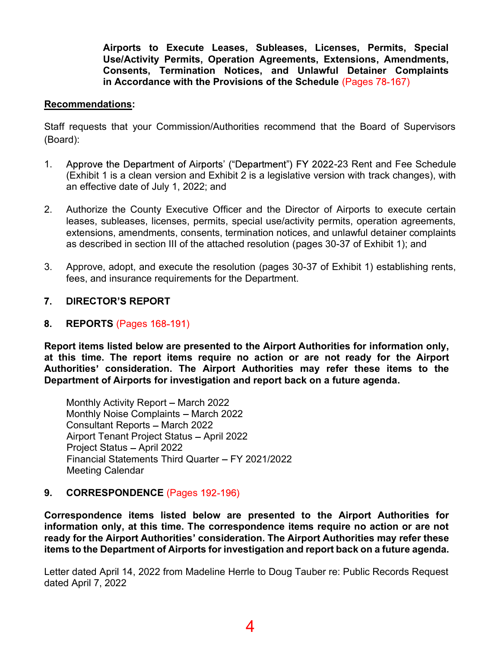Airports to Execute Leases, Subleases, Licenses, Permits, Special Use/Activity Permits, Operation Agreements, Extensions, Amendments, Consents, Termination Notices, and Unlawful Detainer Complaints in Accordance with the Provisions of the Schedule (Pages 78-167)

#### Recommendations:

Staff requests that your Commission/Authorities recommend that the Board of Supervisors (Board):

- 1. Approve the Department of Airports' ("Department") FY 2022-23 Rent and Fee Schedule (Exhibit 1 is a clean version and Exhibit 2 is a legislative version with track changes), with an effective date of July 1, 2022; and
- 2. Authorize the County Executive Officer and the Director of Airports to execute certain leases, subleases, licenses, permits, special use/activity permits, operation agreements, extensions, amendments, consents, termination notices, and unlawful detainer complaints as described in section III of the attached resolution (pages 30-37 of Exhibit 1); and
- 3. Approve, adopt, and execute the resolution (pages 30-37 of Exhibit 1) establishing rents, fees, and insurance requirements for the Department.
- $7.$ **DIRECTOR'S REPORT**
- 8. REPORTS (Pages 168-191)

Report items listed below are presented to the Airport Authorities for information only, at this time. The report items require no action or are not ready for the Airport Authorities' consideration. The Airport Authorities may refer these items to the Department of Airports for investigation and report back on a future agenda.

Monthly Activity Report – March 2022 Monthly Noise Complaints - March 2022 Consultant Reports - March 2022 Airport Tenant Project Status - April 2022 Project Status - April 2022 Financial Statements Third Quarter FY 2021/2022 Meeting Calendar

#### 9. CORRESPONDENCE (Pages 192-196)

Correspondence items listed below are presented to the Airport Authorities for information only, at this time. The correspondence items require no action or are not ready for the Airport Authorities' consideration. The Airport Authorities may refer these items to the Department of Airports for investigation and report back on a future agenda.

Letter dated April 14, 2022 from Madeline Herrle to Doug Tauber re: Public Records Request dated April 7, 2022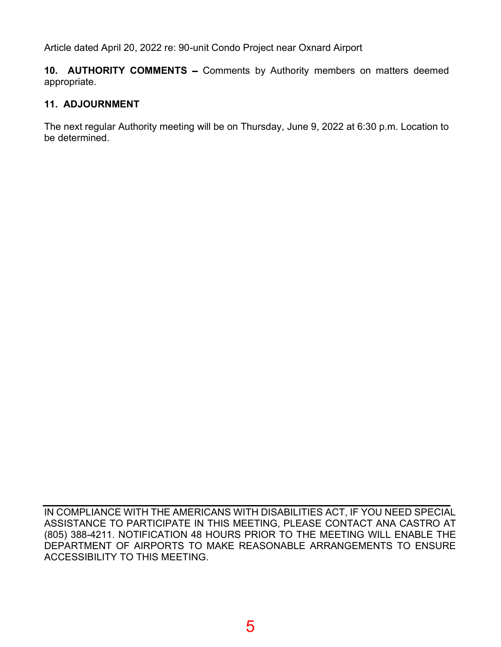Article dated April 20, 2022 re: 90-unit Condo Project near Oxnard Airport

10. AUTHORITY COMMENTS - Comments by Authority members on matters deemed appropriate.

# 11. ADJOURNMENT

The next regular Authority meeting will be on Thursday, June 9, 2022 at 6:30 p.m. Location to be determined.

IN COMPLIANCE WITH THE AMERICANS WITH DISABILITIES ACT, IF YOU NEED SPECIAL ASSISTANCE TO PARTICIPATE IN THIS MEETING, PLEASE CONTACT ANA CASTRO AT (805) 388-4211. NOTIFICATION 48 HOURS PRIOR TO THE MEETING WILL ENABLE THE DEPARTMENT OF AIRPORTS TO MAKE REASONABLE ARRANGEMENTS TO ENSURE ACCESSIBILITY TO THIS MEETING.